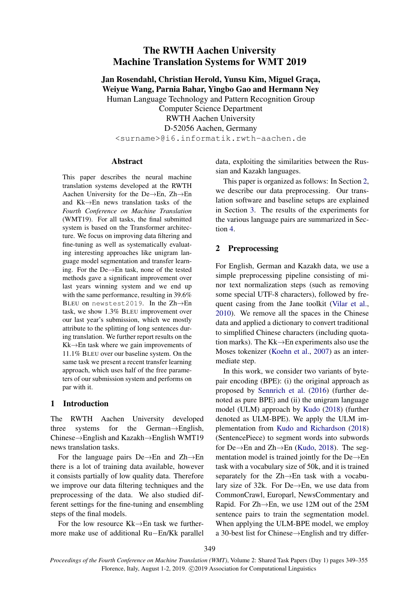# The RWTH Aachen University Machine Translation Systems for WMT 2019

Jan Rosendahl, Christian Herold, Yunsu Kim, Miguel Graça, Weiyue Wang, Parnia Bahar, Yingbo Gao and Hermann Ney Human Language Technology and Pattern Recognition Group

Computer Science Department RWTH Aachen University D-52056 Aachen, Germany <surname>@i6.informatik.rwth-aachen.de

## Abstract

This paper describes the neural machine translation systems developed at the RWTH Aachen University for the De→En, Zh→En and Kk→En news translation tasks of the *Fourth Conference on Machine Translation* (WMT19). For all tasks, the final submitted system is based on the Transformer architecture. We focus on improving data filtering and fine-tuning as well as systematically evaluating interesting approaches like unigram language model segmentation and transfer learning. For the De→En task, none of the tested methods gave a significant improvement over last years winning system and we end up with the same performance, resulting in 39.6% BLEU on newstest2019. In the Zh→En task, we show 1.3% BLEU improvement over our last year's submission, which we mostly attribute to the splitting of long sentences during translation. We further report results on the Kk→En task where we gain improvements of 11.1% BLEU over our baseline system. On the same task we present a recent transfer learning approach, which uses half of the free parameters of our submission system and performs on par with it.

# 1 Introduction

The RWTH Aachen University developed three systems for the German→English, Chinese→English and Kazakh→English WMT19 news translation tasks.

For the language pairs De→En and Zh→En there is a lot of training data available, however it consists partially of low quality data. Therefore we improve our data filtering techniques and the preprocessing of the data. We also studied different settings for the fine-tuning and ensembling steps of the final models.

For the low resource Kk→En task we furthermore make use of additional Ru−En/Kk parallel data, exploiting the similarities between the Russian and Kazakh languages.

This paper is organized as follows: In Section [2,](#page-0-0) we describe our data preprocessing. Our translation software and baseline setups are explained in Section [3.](#page-1-0) The results of the experiments for the various language pairs are summarized in Section [4.](#page-1-1)

# <span id="page-0-0"></span>2 Preprocessing

For English, German and Kazakh data, we use a simple preprocessing pipeline consisting of minor text normalization steps (such as removing some special UTF-8 characters), followed by frequent casing from the Jane toolkit [\(Vilar et al.,](#page-6-0) [2010\)](#page-6-0). We remove all the spaces in the Chinese data and applied a dictionary to convert traditional to simplified Chinese characters (including quotation marks). The Kk→En experiments also use the Moses tokenizer [\(Koehn et al.,](#page-5-0) [2007\)](#page-5-0) as an intermediate step.

In this work, we consider two variants of bytepair encoding (BPE): (i) the original approach as proposed by [Sennrich et al.](#page-5-1) [\(2016\)](#page-5-1) (further denoted as pure BPE) and (ii) the unigram language model (ULM) approach by [Kudo](#page-5-2) [\(2018\)](#page-5-2) (further denoted as ULM-BPE). We apply the ULM implementation from [Kudo and Richardson](#page-5-3) [\(2018\)](#page-5-3) (SentencePiece) to segment words into subwords for De→En and Zh→En [\(Kudo,](#page-5-2) [2018\)](#page-5-2). The segmentation model is trained jointly for the De→En task with a vocabulary size of 50k, and it is trained separately for the Zh→En task with a vocabulary size of 32k. For De→En, we use data from CommonCrawl, Europarl, NewsCommentary and Rapid. For Zh→En, we use 12M out of the 25M sentence pairs to train the segmentation model. When applying the ULM-BPE model, we employ a 30-best list for Chinese→English and try differ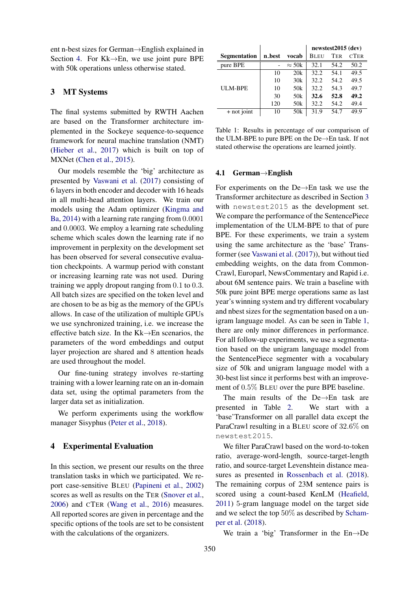ent n-best sizes for German→English explained in Section [4.](#page-1-1) For  $Kk \rightarrow En$ , we use joint pure BPE with 50k operations unless otherwise stated.

### <span id="page-1-0"></span>3 MT Systems

The final systems submitted by RWTH Aachen are based on the Transformer architecture implemented in the Sockeye sequence-to-sequence framework for neural machine translation (NMT) [\(Hieber et al.,](#page-5-4) [2017\)](#page-5-4) which is built on top of MXNet [\(Chen et al.,](#page-5-5) [2015\)](#page-5-5).

Our models resemble the 'big' architecture as presented by [Vaswani et al.](#page-6-1) [\(2017\)](#page-6-1) consisting of 6 layers in both encoder and decoder with 16 heads in all multi-head attention layers. We train our models using the Adam optimizer [\(Kingma and](#page-5-6) [Ba,](#page-5-6) [2014\)](#page-5-6) with a learning rate ranging from 0.0001 and 0.0003. We employ a learning rate scheduling scheme which scales down the learning rate if no improvement in perplexity on the development set has been observed for several consecutive evaluation checkpoints. A warmup period with constant or increasing learning rate was not used. During training we apply dropout ranging from 0.1 to 0.3. All batch sizes are specified on the token level and are chosen to be as big as the memory of the GPUs allows. In case of the utilization of multiple GPUs we use synchronized training, i.e. we increase the effective batch size. In the  $Kk\rightarrow En$  scenarios, the parameters of the word embeddings and output layer projection are shared and 8 attention heads are used throughout the model.

Our fine-tuning strategy involves re-starting training with a lower learning rate on an in-domain data set, using the optimal parameters from the larger data set as initialization.

We perform experiments using the workflow manager Sisyphus [\(Peter et al.,](#page-5-7) [2018\)](#page-5-7).

#### <span id="page-1-1"></span>4 Experimental Evaluation

In this section, we present our results on the three translation tasks in which we participated. We report case-sensitive BLEU [\(Papineni et al.,](#page-5-8) [2002\)](#page-5-8) scores as well as results on the TER [\(Snover et al.,](#page-6-2) [2006\)](#page-6-2) and CTER [\(Wang et al.,](#page-6-3) [2016\)](#page-6-3) measures. All reported scores are given in percentage and the specific options of the tools are set to be consistent with the calculations of the organizers.

<span id="page-1-2"></span>

|        |                 | newstest2015 (dev) |            |             |  |  |
|--------|-----------------|--------------------|------------|-------------|--|--|
| n_best | vocab           | <b>BLEU</b>        | <b>TER</b> | <b>CTER</b> |  |  |
|        | $\approx$ 50k   | 32.1               | 54.2       | 50.2        |  |  |
| 10     | 20k             | 32.2               | 54.1       | 49.5        |  |  |
| 10     | 30k             | 32.2               | 54.2       | 49.5        |  |  |
| 10     | 50k             | 32.2               | 54.3       | 49.7        |  |  |
| 30     | 50k             | 32.6               | 52.8       | 49.2        |  |  |
| 120    | 50 <sub>k</sub> | 32.2               | 54.2       | 49.4        |  |  |
| 10     | 50k             | 31.9               | 54.7       | 49.9        |  |  |
|        |                 |                    |            |             |  |  |

Table 1: Results in percentage of our comparison of the ULM-BPE to pure BPE on the De→En task. If not stated otherwise the operations are learned jointly.

## 4.1 German→English

For experiments on the De→En task we use the Transformer architecture as described in Section [3](#page-1-0) with newstest2015 as the development set. We compare the performance of the SentencePiece implementation of the ULM-BPE to that of pure BPE. For these experiments, we train a system using the same architecture as the 'base' Transformer (see [Vaswani et al.](#page-6-1) [\(2017\)](#page-6-1)), but without tied embedding weights, on the data from Common-Crawl, Europarl, NewsCommentary and Rapid i.e. about 6M sentence pairs. We train a baseline with 50k pure joint BPE merge operations same as last year's winning system and try different vocabulary and nbest sizes for the segmentation based on a unigram language model. As can be seen in Table [1,](#page-1-2) there are only minor differences in performance. For all follow-up experiments, we use a segmentation based on the unigram language model from the SentencePiece segmenter with a vocabulary size of 50k and unigram language model with a 30-best list since it performs best with an improvement of 0.5% BLEU over the pure BPE baseline.

The main results of the De $\rightarrow$ En task are presented in Table [2.](#page-3-0) We start with a 'base'Transformer on all parallel data except the ParaCrawl resulting in a BLEU score of 32.6% on newstest2015.

We filter ParaCrawl based on the word-to-token ratio, average-word-length, source-target-length ratio, and source-target Levenshtein distance measures as presented in [Rossenbach et al.](#page-5-9) [\(2018\)](#page-5-9). The remaining corpus of 23M sentence pairs is scored using a count-based KenLM [\(Heafield,](#page-5-10) [2011\)](#page-5-10) 5-gram language model on the target side and we select the top 50% as described by [Scham](#page-5-11)[per et al.](#page-5-11) [\(2018\)](#page-5-11).

We train a 'big' Transformer in the En→De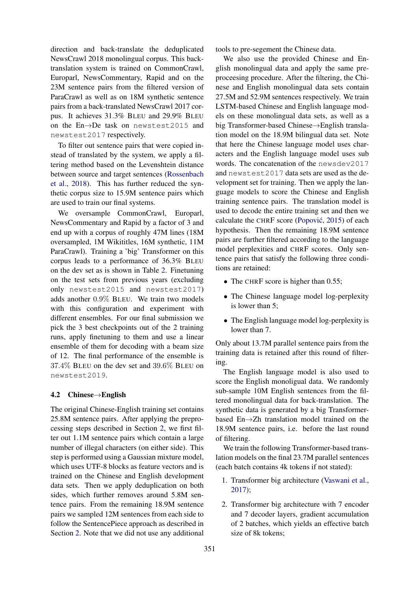direction and back-translate the deduplicated NewsCrawl 2018 monolingual corpus. This backtranslation system is trained on CommonCrawl, Europarl, NewsCommentary, Rapid and on the 23M sentence pairs from the filtered version of ParaCrawl as well as on 18M synthetic sentence pairs from a back-translated NewsCrawl 2017 corpus. It achieves 31.3% BLEU and 29.9% BLEU on the En→De task on newstest2015 and newstest2017 respectively.

To filter out sentence pairs that were copied instead of translated by the system, we apply a filtering method based on the Levenshtein distance between source and target sentences [\(Rossenbach](#page-5-9) [et al.,](#page-5-9) [2018\)](#page-5-9). This has further reduced the synthetic corpus size to 15.9M sentence pairs which are used to train our final systems.

We oversample CommonCrawl, Europarl, NewsCommentary and Rapid by a factor of 3 and end up with a corpus of roughly 47M lines (18M oversampled, 1M Wikititles, 16M synthetic, 11M ParaCrawl). Training a 'big' Transformer on this corpus leads to a performance of 36.3% BLEU on the dev set as is shown in Table [2.](#page-3-0) Finetuning on the test sets from previous years (excluding only newstest2015 and newstest2017) adds another 0.9% BLEU. We train two models with this configuration and experiment with different ensembles. For our final submission we pick the 3 best checkpoints out of the 2 training runs, apply finetuning to them and use a linear ensemble of them for decoding with a beam size of 12. The final performance of the ensemble is 37.4% BLEU on the dev set and 39.6% BLEU on newstest2019.

## 4.2 Chinese→English

The original Chinese-English training set contains 25.8M sentence pairs. After applying the preprocessing steps described in Section [2,](#page-0-0) we first filter out 1.1M sentence pairs which contain a large number of illegal characters (on either side). This step is performed using a Gaussian mixture model, which uses UTF-8 blocks as feature vectors and is trained on the Chinese and English development data sets. Then we apply deduplication on both sides, which further removes around 5.8M sentence pairs. From the remaining 18.9M sentence pairs we sampled 12M sentences from each side to follow the SentencePiece approach as described in Section [2.](#page-0-0) Note that we did not use any additional tools to pre-segement the Chinese data.

We also use the provided Chinese and English monolingual data and apply the same preproceesing procedure. After the filtering, the Chinese and English monolingual data sets contain 27.5M and 52.9M sentences respectively. We train LSTM-based Chinese and English language models on these monolingual data sets, as well as a big Transformer-based Chinese→English translation model on the 18.9M bilingual data set. Note that here the Chinese language model uses characters and the English language model uses sub words. The concatenation of the newsdev2017 and newstest2017 data sets are used as the development set for training. Then we apply the language models to score the Chinese and English training sentence pairs. The translation model is used to decode the entire training set and then we calculate the CHRF score (Popović, [2015\)](#page-5-12) of each hypothesis. Then the remaining 18.9M sentence pairs are further filtered according to the language model perplexities and CHRF scores. Only sentence pairs that satisfy the following three conditions are retained:

- The CHRF score is higher than 0.55;
- The Chinese language model log-perplexity is lower than 5;
- The English language model log-perplexity is lower than 7.

Only about 13.7M parallel sentence pairs from the training data is retained after this round of filtering.

The English language model is also used to score the English monoligual data. We randomly sub-sample 10M English sentences from the filtered monolingual data for back-translation. The synthetic data is generated by a big Transformerbased En→Zh translation model trained on the 18.9M sentence pairs, i.e. before the last round of filtering.

We train the following Transformer-based translation models on the final 23.7M parallel sentences (each batch contains 4k tokens if not stated):

- 1. Transformer big architecture [\(Vaswani et al.,](#page-6-1) [2017\)](#page-6-1);
- 2. Transformer big architecture with 7 encoder and 7 decoder layers, gradient accumulation of 2 batches, which yields an effective batch size of 8k tokens;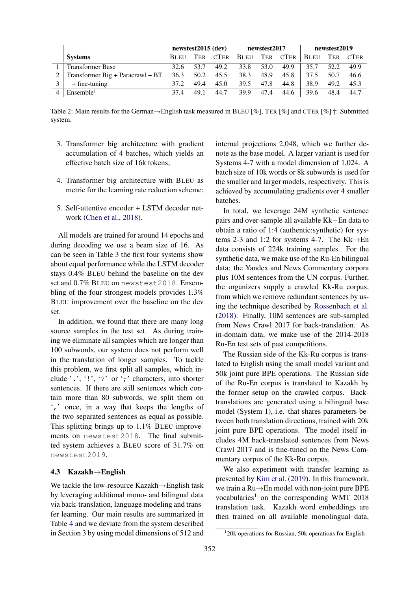<span id="page-3-0"></span>

|                                    | $newstest2015$ (dev) |            | newstest2017 |      |      | newstest2019 |             |            |             |
|------------------------------------|----------------------|------------|--------------|------|------|--------------|-------------|------------|-------------|
| <b>Systems</b>                     | <b>BLEU</b>          | <b>TER</b> | <b>CTER</b>  | BLEU | TER  | <b>CTER</b>  | <b>BLEU</b> | <b>TER</b> | <b>CTER</b> |
| <b>Transformer Base</b>            | 32.6                 | 53.7       | 49.2         | 33.8 | 53.0 | 49.9         | 35.7        | 52.2       | 49.9        |
| Transformer $Big +$ Paracrawl + BT | 36.3                 | 50.2       | 45.5         | 38.3 | 48.9 | 45.8         | 37.5        | 50.7       | 46.6        |
| $+$ fine-tuning                    | 37.2                 | 49.4       | 45.0         | 39.5 | 47.8 | 44.8         | 38.9        | 49.2       | 45.3        |
| Ensemble <sup>†</sup>              | 37.4                 | 49.1       | 44.7         | 39.9 | 47.4 | 44.6         | 39.6        | 48.4       | 44.7        |

Table 2: Main results for the German→English task measured in BLEU [%], TER [%] and CTER [%] †: Submitted system.

- 3. Transformer big architecture with gradient accumulation of 4 batches, which yields an effective batch size of 16k tokens;
- 4. Transformer big architecture with BLEU as metric for the learning rate reduction scheme;
- 5. Self-attentive encoder + LSTM decoder network [\(Chen et al.,](#page-5-13) [2018\)](#page-5-13).

All models are trained for around 14 epochs and during decoding we use a beam size of 16. As can be seen in Table [3](#page-4-0) the first four systems show about equal performance while the LSTM decoder stays 0.4% BLEU behind the baseline on the dev set and 0.7% BLEU on newstest2018. Ensembling of the four strongest models provides 1.3% BLEU improvement over the baseline on the dev set.

In addition, we found that there are many long source samples in the test set. As during training we eliminate all samples which are longer than 100 subwords, our system does not perform well in the translation of longer samples. To tackle this problem, we first split all samples, which include '.', '!', '?' or ';' characters, into shorter sentences. If there are still sentences which contain more than 80 subwords, we split them on ',' once, in a way that keeps the lengths of the two separated sentences as equal as possible. This splitting brings up to 1.1% BLEU improvements on newstest2018. The final submitted system achieves a BLEU score of 31.7% on newstest2019.

#### 4.3 Kazakh→English

We tackle the low-resource Kazakh→English task by leveraging additional mono- and bilingual data via back-translation, language modeling and transfer learning. Our main results are summarized in Table [4](#page-4-1) and we deviate from the system described in Section 3 by using model dimensions of 512 and

internal projections 2,048, which we further denote as the base model. A larger variant is used for Systems 4-7 with a model dimension of 1,024. A batch size of 10k words or 8k subwords is used for the smaller and larger models, respectively. This is achieved by accumulating gradients over 4 smaller batches.

In total, we leverage 24M synthetic sentence pairs and over-sample all available Kk−En data to obtain a ratio of 1:4 (authentic:synthetic) for systems 2-3 and 1:2 for systems 4-7. The Kk $\rightarrow$ En data consists of 224k training samples. For the synthetic data, we make use of the Ru-En bilingual data: the Yandex and News Commentary corpora plus 10M sentences from the UN corpus. Further, the organizers supply a crawled Kk-Ru corpus, from which we remove redundant sentences by using the technique described by [Rossenbach et al.](#page-5-9) [\(2018\)](#page-5-9). Finally, 10M sentences are sub-sampled from News Crawl 2017 for back-translation. As in-domain data, we make use of the 2014-2018 Ru-En test sets of past competitions.

The Russian side of the Kk-Ru corpus is translated to English using the small model variant and 50k joint pure BPE operations. The Russian side of the Ru-En corpus is translated to Kazakh by the former setup on the crawled corpus. Backtranslations are generated using a bilingual base model (System 1), i.e. that shares parameters between both translation directions, trained with 20k joint pure BPE operations. The model itself includes 4M back-translated sentences from News Crawl 2017 and is fine-tuned on the News Commentary corpus of the Kk-Ru corpus.

We also experiment with transfer learning as presented by [Kim et al.](#page-5-14) [\(2019\)](#page-5-14). In this framework, we train a Ru→En model with non-joint pure BPE vocabularies<sup>[1](#page-3-1)</sup> on the corresponding WMT 2018 translation task. Kazakh word embeddings are then trained on all available monolingual data,

<span id="page-3-1"></span><sup>1</sup> 20k operations for Russian, 50k operations for English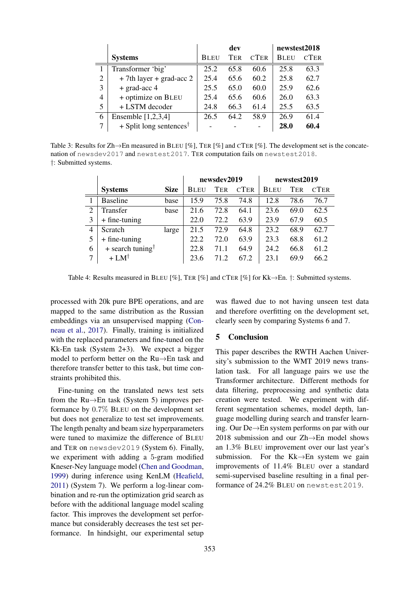<span id="page-4-0"></span>

|                |                                       |             | dev        |             | newstest2018 |             |
|----------------|---------------------------------------|-------------|------------|-------------|--------------|-------------|
|                | <b>Systems</b>                        | <b>BLEU</b> | <b>TER</b> | <b>CTER</b> | <b>BLEU</b>  | <b>CTER</b> |
|                | Transformer 'big'                     | 25.2        | 65.8       | 60.6        | 25.8         | 63.3        |
| $\overline{2}$ | $+ 7$ th layer + grad-acc 2           | 25.4        | 65.6       | 60.2        | 25.8         | 62.7        |
| 3              | $+$ grad-acc 4                        | 25.5        | 65.0       | 60.0        | 25.9         | 62.6        |
| $\overline{4}$ | + optimize on BLEU                    | 25.4        | 65.6       | 60.6        | 26.0         | 63.3        |
| 5              | + LSTM decoder                        | 24.8        | 66.3       | 61.4        | 25.5         | 63.5        |
| 6              | Ensemble $[1,2,3,4]$                  | 26.5        | 64.2       | 58.9        | 26.9         | 61.4        |
| 7              | $+$ Split long sentences <sup>†</sup> |             |            |             | 28.0         | 60.4        |

<span id="page-4-1"></span>Table 3: Results for Zh $\rightarrow$ En measured in BLEU [%], TER [%] and CTER [%]. The development set is the concatenation of newsdev2017 and newstest2017. TER computation fails on newstest2018. †: Submitted systems.

|                |                              |             | newsdev2019 |            |             | newstest2019 |            |             |  |
|----------------|------------------------------|-------------|-------------|------------|-------------|--------------|------------|-------------|--|
|                | <b>Systems</b>               | <b>Size</b> | <b>BLEU</b> | <b>TER</b> | <b>CTER</b> | <b>BLEU</b>  | <b>TER</b> | <b>CTER</b> |  |
|                | <b>Baseline</b>              | base        | 15.9        | 75.8       | 74.8        | 12.8         | 78.6       | 76.7        |  |
| $\overline{2}$ | Transfer                     | base        | 21.6        | 72.8       | 64.1        | 23.6         | 69.0       | 62.5        |  |
| 3              | $+$ fine-tuning              |             | 22.0        | 72.2       | 63.9        | 23.9         | 67.9       | 60.5        |  |
| 4              | <b>Scratch</b>               | large       | 21.5        | 72.9       | 64.8        | 23.2         | 68.9       | 62.7        |  |
| 5              | $+$ fine-tuning              |             | 22.2        | 72.0       | 63.9        | 23.3         | 68.8       | 61.2        |  |
| 6              | + search tuning <sup>†</sup> |             | 22.8        | 71.1       | 64.9        | 24.2         | 66.8       | 61.2        |  |
| 7              | $+$ LM <sup>†</sup>          |             | 23.6        | 71 2       | 67.2        | 23.1         | 69.9       | 66.2        |  |

Table 4: Results measured in BLEU [%], TER [%] and CTER [%] for Kk $\rightarrow$ En. †: Submitted systems.

processed with 20k pure BPE operations, and are mapped to the same distribution as the Russian embeddings via an unsupervised mapping [\(Con](#page-5-15)[neau et al.,](#page-5-15) [2017\)](#page-5-15). Finally, training is initialized with the replaced parameters and fine-tuned on the Kk-En task (System 2+3). We expect a bigger model to perform better on the Ru→En task and therefore transfer better to this task, but time constraints prohibited this.

Fine-tuning on the translated news test sets from the Ru→En task (System 5) improves performance by 0.7% BLEU on the development set but does not generalize to test set improvements. The length penalty and beam size hyperparameters were tuned to maximize the difference of BLEU and TER on newsdev2019 (System 6). Finally, we experiment with adding a 5-gram modified Kneser-Ney language model [\(Chen and Goodman,](#page-5-16) [1999\)](#page-5-16) during inference using KenLM [\(Heafield,](#page-5-10) [2011\)](#page-5-10) (System 7). We perform a log-linear combination and re-run the optimization grid search as before with the additional language model scaling factor. This improves the development set performance but considerably decreases the test set performance. In hindsight, our experimental setup was flawed due to not having unseen test data and therefore overfitting on the development set, clearly seen by comparing Systems 6 and 7.

# 5 Conclusion

This paper describes the RWTH Aachen University's submission to the WMT 2019 news translation task. For all language pairs we use the Transformer architecture. Different methods for data filtering, preprocessing and synthetic data creation were tested. We experiment with different segmentation schemes, model depth, language modelling during search and transfer learning. Our De→En system performs on par with our 2018 submission and our Zh→En model shows an 1.3% BLEU improvement over our last year's submission. For the Kk→En system we gain improvements of 11.4% BLEU over a standard semi-supervised baseline resulting in a final performance of 24.2% BLEU on newstest2019.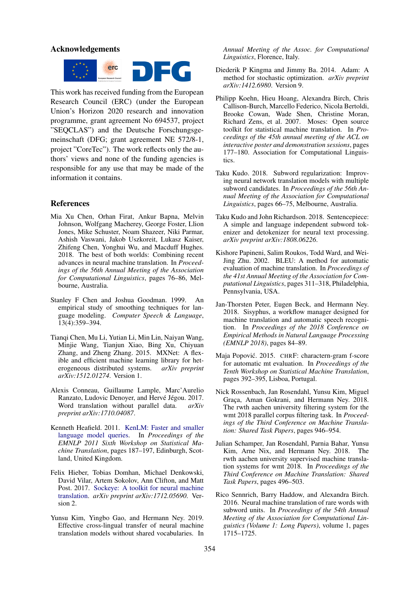#### Acknowledgements



This work has received funding from the European Research Council (ERC) (under the European Union's Horizon 2020 research and innovation programme, grant agreement No 694537, project "SEQCLAS") and the Deutsche Forschungsgemeinschaft (DFG; grant agreement NE 572/8-1, project "CoreTec"). The work reflects only the authors' views and none of the funding agencies is responsible for any use that may be made of the information it contains.

#### References

- <span id="page-5-13"></span>Mia Xu Chen, Orhan Firat, Ankur Bapna, Melvin Johnson, Wolfgang Macherey, George Foster, Llion Jones, Mike Schuster, Noam Shazeer, Niki Parmar, Ashish Vaswani, Jakob Uszkoreit, Lukasz Kaiser, Zhifeng Chen, Yonghui Wu, and Macduff Hughes. 2018. The best of both worlds: Combining recent advances in neural machine translation. In *Proceedings of the 56th Annual Meeting of the Association for Computational Linguistics*, pages 76–86, Melbourne, Australia.
- <span id="page-5-16"></span>Stanley F Chen and Joshua Goodman. 1999. An empirical study of smoothing techniques for language modeling. *Computer Speech & Language*, 13(4):359–394.
- <span id="page-5-5"></span>Tianqi Chen, Mu Li, Yutian Li, Min Lin, Naiyan Wang, Minjie Wang, Tianjun Xiao, Bing Xu, Chiyuan Zhang, and Zheng Zhang. 2015. MXNet: A flexible and efficient machine learning library for heterogeneous distributed systems. *arXiv preprint arXiv:1512.01274*. Version 1.
- <span id="page-5-15"></span>Alexis Conneau, Guillaume Lample, Marc'Aurelio Ranzato, Ludovic Denoyer, and Hervé Jégou. 2017. Word translation without parallel data. *arXiv preprint arXiv:1710.04087*.
- <span id="page-5-10"></span>Kenneth Heafield. 2011. [KenLM: Faster and smaller](https://kheafield.com/papers/avenue/kenlm.pdf) [language model queries.](https://kheafield.com/papers/avenue/kenlm.pdf) In *Proceedings of the EMNLP 2011 Sixth Workshop on Statistical Machine Translation*, pages 187–197, Edinburgh, Scotland, United Kingdom.
- <span id="page-5-4"></span>Felix Hieber, Tobias Domhan, Michael Denkowski, David Vilar, Artem Sokolov, Ann Clifton, and Matt Post. 2017. [Sockeye: A toolkit for neural machine](http://arxiv.org/abs/1712.05690) [translation.](http://arxiv.org/abs/1712.05690) *arXiv preprint arXiv:1712.05690*. Version 2.
- <span id="page-5-14"></span>Yunsu Kim, Yingbo Gao, and Hermann Ney. 2019. Effective cross-lingual transfer of neural machine translation models without shared vocabularies. In

*Annual Meeting of the Assoc. for Computational Linguistics*, Florence, Italy.

- <span id="page-5-6"></span>Diederik P Kingma and Jimmy Ba. 2014. Adam: A method for stochastic optimization. *arXiv preprint arXiv:1412.6980*. Version 9.
- <span id="page-5-0"></span>Philipp Koehn, Hieu Hoang, Alexandra Birch, Chris Callison-Burch, Marcello Federico, Nicola Bertoldi, Brooke Cowan, Wade Shen, Christine Moran, Richard Zens, et al. 2007. Moses: Open source toolkit for statistical machine translation. In *Proceedings of the 45th annual meeting of the ACL on interactive poster and demonstration sessions*, pages 177–180. Association for Computational Linguistics.
- <span id="page-5-2"></span>Taku Kudo. 2018. Subword regularization: Improving neural network translation models with multiple subword candidates. In *Proceedings of the 56th Annual Meeting of the Association for Computational Linguistics*, pages 66–75, Melbourne, Australia.
- <span id="page-5-3"></span>Taku Kudo and John Richardson. 2018. Sentencepiece: A simple and language independent subword tokenizer and detokenizer for neural text processing. *arXiv preprint arXiv:1808.06226*.
- <span id="page-5-8"></span>Kishore Papineni, Salim Roukos, Todd Ward, and Wei-Jing Zhu. 2002. BLEU: A method for automatic evaluation of machine translation. In *Proceedings of the 41st Annual Meeting of the Association for Computational Linguistics*, pages 311–318, Philadelphia, Pennsylvania, USA.
- <span id="page-5-7"></span>Jan-Thorsten Peter, Eugen Beck, and Hermann Ney. 2018. Sisyphus, a workflow manager designed for machine translation and automatic speech recognition. In *Proceedings of the 2018 Conference on Empirical Methods in Natural Language Processing (EMNLP 2018)*, pages 84–89.
- <span id="page-5-12"></span>Maja Popović. 2015. CHRF: charactern-gram f-score for automatic mt evaluation. In *Proceedings of the Tenth Workshop on Statistical Machine Translation*, pages 392–395, Lisboa, Portugal.
- <span id="page-5-9"></span>Nick Rossenbach, Jan Rosendahl, Yunsu Kim, Miguel Graça, Aman Gokrani, and Hermann Ney. 2018. The rwth aachen university filtering system for the wmt 2018 parallel corpus filtering task. In *Proceedings of the Third Conference on Machine Translation: Shared Task Papers*, pages 946–954.
- <span id="page-5-11"></span>Julian Schamper, Jan Rosendahl, Parnia Bahar, Yunsu Kim, Arne Nix, and Hermann Ney. 2018. The rwth aachen university supervised machine translation systems for wmt 2018. In *Proceedings of the Third Conference on Machine Translation: Shared Task Papers*, pages 496–503.
- <span id="page-5-1"></span>Rico Sennrich, Barry Haddow, and Alexandra Birch. 2016. Neural machine translation of rare words with subword units. In *Proceedings of the 54th Annual Meeting of the Association for Computational Linguistics (Volume 1: Long Papers)*, volume 1, pages 1715–1725.